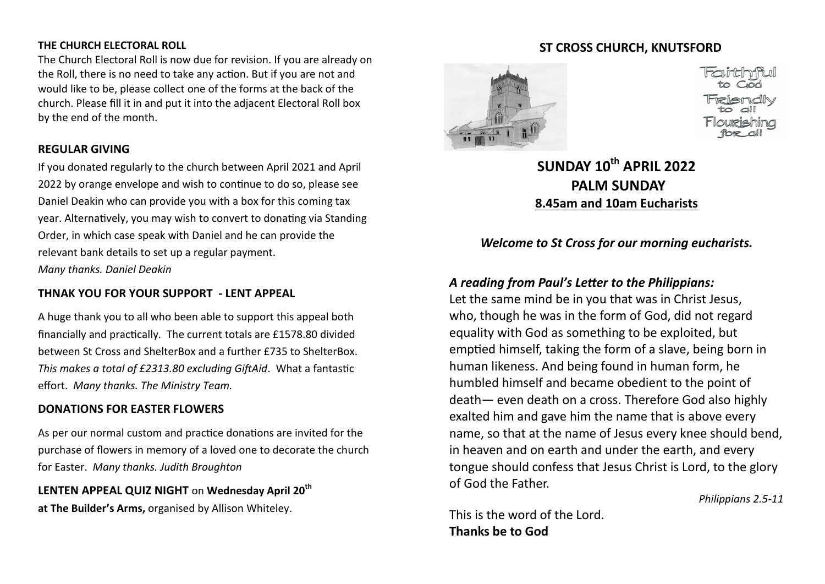#### **THE CHURCH ELECTORAL ROLL**

The Church Electoral Roll is now due for revision. If you are already on the Roll, there is no need to take any action. But if you are not and would like to be, please collect one of the forms at the back of the church. Please fill it in and put it into the adjacent Electoral Roll box by the end of the month.

### **REGULAR GIVING**

If you donated regularly to the church between April 2021 and April 2022 by orange envelope and wish to continue to do so, please see Daniel Deakin who can provide you with a box for this coming tax year. Alternatively, you may wish to convert to donating via Standing Order, in which case speak with Daniel and he can provide the relevant bank details to set up a regular payment. *Many thanks. Daniel Deakin*

### **THNAK YOU FOR YOUR SUPPORT - LENT APPEAL**

A huge thank you to all who been able to support this appeal both financially and practically. The current totals are £1578.80 divided between St Cross and ShelterBox and a further £735 to ShelterBox. *This makes a total of £2313.80 excluding GiftAid*. What a fantastic effort. *Many thanks. The Ministry Team.*

### **DONATIONS FOR EASTER FLOWERS**

As per our normal custom and practice donations are invited for the purchase of flowers in memory of a loved one to decorate the church for Easter. *Many thanks. Judith Broughton*

**LENTEN APPEAL QUIZ NIGHT** on **Wednesday April 20th at The Builder's Arms,** organised by Allison Whiteley.

### **ST CROSS CHURCH, KNUTSFORD**



# **SUNDAY 10th APRIL 2022 PALM SUNDAY 8.45am and 10am Eucharists**

## *Welcome to St Cross for our morning eucharists.*

## *A reading from Paul's Letter to the Philippians:*

Let the same mind be in you that was in Christ Jesus, who, though he was in the form of God, did not regard equality with God as something to be exploited, but emptied himself, taking the form of a slave, being born in human likeness. And being found in human form, he humbled himself and became obedient to the point of death— even death on a cross. Therefore God also highly exalted him and gave him the name that is above every name, so that at the name of Jesus every knee should bend, in heaven and on earth and under the earth, and every tongue should confess that Jesus Christ is Lord, to the glory of God the Father.

*Philippians 2.5-11*

This is the word of the Lord. **Thanks be to God**